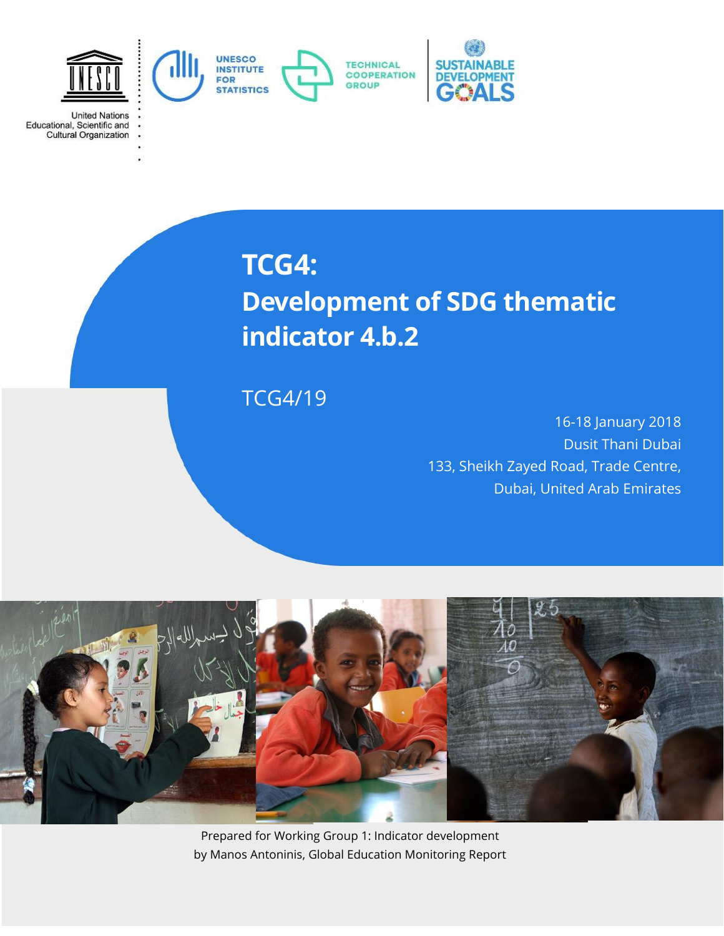

**United Nations** 

Educational, Scientific and<br>Cultural Organization

**TCG4: Development of SDG thematic indicator 4.b.2**

TCG4/19

16-18 January 2018 Dusit Thani Dubai 133, Sheikh Zayed Road, Trade Centre, Dubai, United Arab Emirates



Prepared for Working Group 1: Indicator development by Manos Antoninis, Global Education Monitoring Report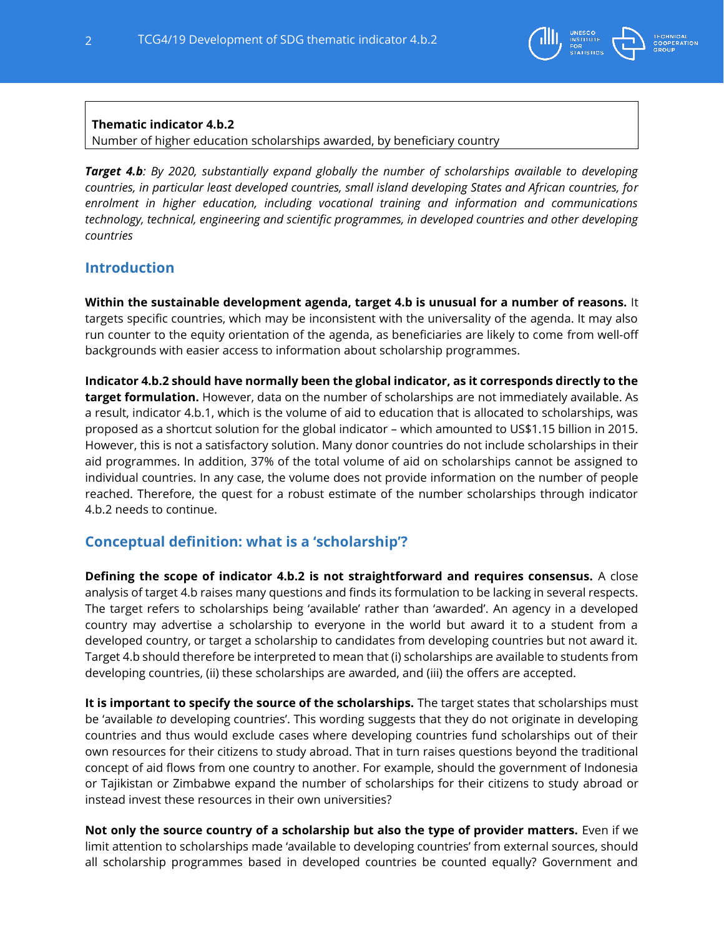

### **Thematic indicator 4.b.2**

Number of higher education scholarships awarded, by beneficiary country

*Target 4.b: By 2020, substantially expand globally the number of scholarships available to developing countries, in particular least developed countries, small island developing States and African countries, for enrolment in higher education, including vocational training and information and communications technology, technical, engineering and scientific programmes, in developed countries and other developing countries*

## **Introduction**

**Within the sustainable development agenda, target 4.b is unusual for a number of reasons.** It targets specific countries, which may be inconsistent with the universality of the agenda. It may also run counter to the equity orientation of the agenda, as beneficiaries are likely to come from well-off backgrounds with easier access to information about scholarship programmes.

**Indicator 4.b.2 should have normally been the global indicator, as it corresponds directly to the target formulation.** However, data on the number of scholarships are not immediately available. As a result, indicator 4.b.1, which is the volume of aid to education that is allocated to scholarships, was proposed as a shortcut solution for the global indicator – which amounted to US\$1.15 billion in 2015. However, this is not a satisfactory solution. Many donor countries do not include scholarships in their aid programmes. In addition, 37% of the total volume of aid on scholarships cannot be assigned to individual countries. In any case, the volume does not provide information on the number of people reached. Therefore, the quest for a robust estimate of the number scholarships through indicator 4.b.2 needs to continue.

# **Conceptual definition: what is a 'scholarship'?**

**Defining the scope of indicator 4.b.2 is not straightforward and requires consensus.** A close analysis of target 4.b raises many questions and finds its formulation to be lacking in several respects. The target refers to scholarships being 'available' rather than 'awarded'. An agency in a developed country may advertise a scholarship to everyone in the world but award it to a student from a developed country, or target a scholarship to candidates from developing countries but not award it. Target 4.b should therefore be interpreted to mean that (i) scholarships are available to students from developing countries, (ii) these scholarships are awarded, and (iii) the offers are accepted.

**It is important to specify the source of the scholarships.** The target states that scholarships must be 'available *to* developing countries'. This wording suggests that they do not originate in developing countries and thus would exclude cases where developing countries fund scholarships out of their own resources for their citizens to study abroad. That in turn raises questions beyond the traditional concept of aid flows from one country to another. For example, should the government of Indonesia or Tajikistan or Zimbabwe expand the number of scholarships for their citizens to study abroad or instead invest these resources in their own universities?

**Not only the source country of a scholarship but also the type of provider matters.** Even if we limit attention to scholarships made 'available to developing countries' from external sources, should all scholarship programmes based in developed countries be counted equally? Government and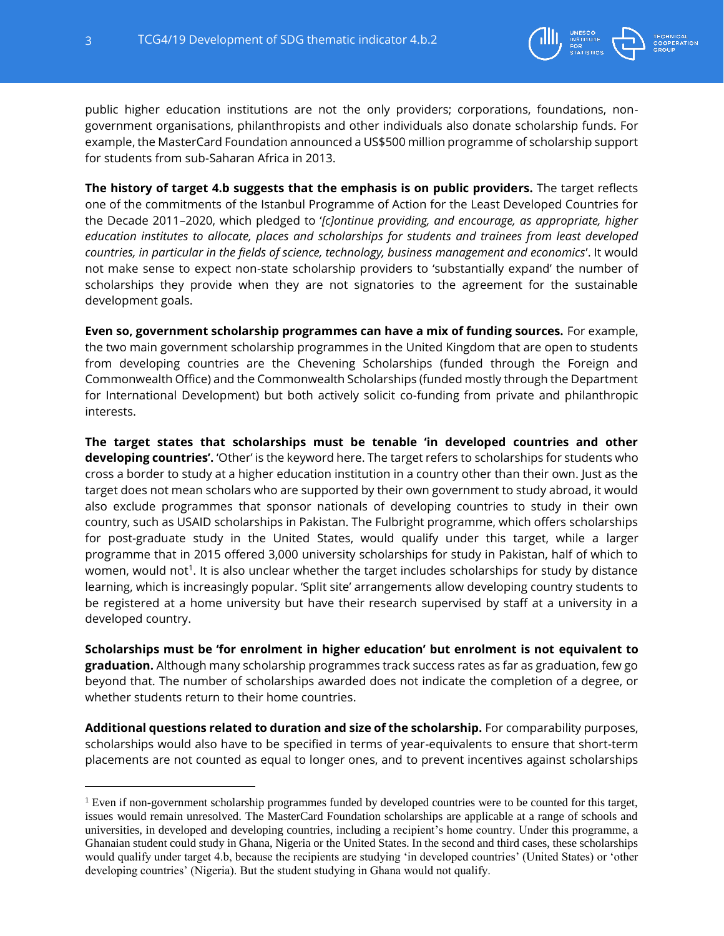

public higher education institutions are not the only providers; corporations, foundations, nongovernment organisations, philanthropists and other individuals also donate scholarship funds. For example, the MasterCard Foundation announced a US\$500 million programme of scholarship support for students from sub-Saharan Africa in 2013.

**The history of target 4.b suggests that the emphasis is on public providers.** The target reflects one of the commitments of the Istanbul Programme of Action for the Least Developed Countries for the Decade 2011–2020, which pledged to '*[c]ontinue providing, and encourage, as appropriate, higher education institutes to allocate, places and scholarships for students and trainees from least developed countries, in particular in the fields of science, technology, business management and economics*'. It would not make sense to expect non-state scholarship providers to 'substantially expand' the number of scholarships they provide when they are not signatories to the agreement for the sustainable development goals.

**Even so, government scholarship programmes can have a mix of funding sources.** For example, the two main government scholarship programmes in the United Kingdom that are open to students from developing countries are the Chevening Scholarships (funded through the Foreign and Commonwealth Office) and the Commonwealth Scholarships (funded mostly through the Department for International Development) but both actively solicit co-funding from private and philanthropic interests.

**The target states that scholarships must be tenable 'in developed countries and other developing countries'.** 'Other' is the keyword here. The target refers to scholarships for students who cross a border to study at a higher education institution in a country other than their own. Just as the target does not mean scholars who are supported by their own government to study abroad, it would also exclude programmes that sponsor nationals of developing countries to study in their own country, such as USAID scholarships in Pakistan. The Fulbright programme, which offers scholarships for post-graduate study in the United States, would qualify under this target, while a larger programme that in 2015 offered 3,000 university scholarships for study in Pakistan, half of which to women, would not<sup>1</sup>. It is also unclear whether the target includes scholarships for study by distance learning, which is increasingly popular. 'Split site' arrangements allow developing country students to be registered at a home university but have their research supervised by staff at a university in a developed country.

**Scholarships must be 'for enrolment in higher education' but enrolment is not equivalent to graduation.** Although many scholarship programmes track success rates as far as graduation, few go beyond that. The number of scholarships awarded does not indicate the completion of a degree, or whether students return to their home countries.

**Additional questions related to duration and size of the scholarship.** For comparability purposes, scholarships would also have to be specified in terms of year-equivalents to ensure that short-term placements are not counted as equal to longer ones, and to prevent incentives against scholarships

<sup>&</sup>lt;sup>1</sup> Even if non-government scholarship programmes funded by developed countries were to be counted for this target, issues would remain unresolved. The MasterCard Foundation scholarships are applicable at a range of schools and universities, in developed and developing countries, including a recipient's home country. Under this programme, a Ghanaian student could study in Ghana, Nigeria or the United States. In the second and third cases, these scholarships would qualify under target 4.b, because the recipients are studying 'in developed countries' (United States) or 'other developing countries' (Nigeria). But the student studying in Ghana would not qualify.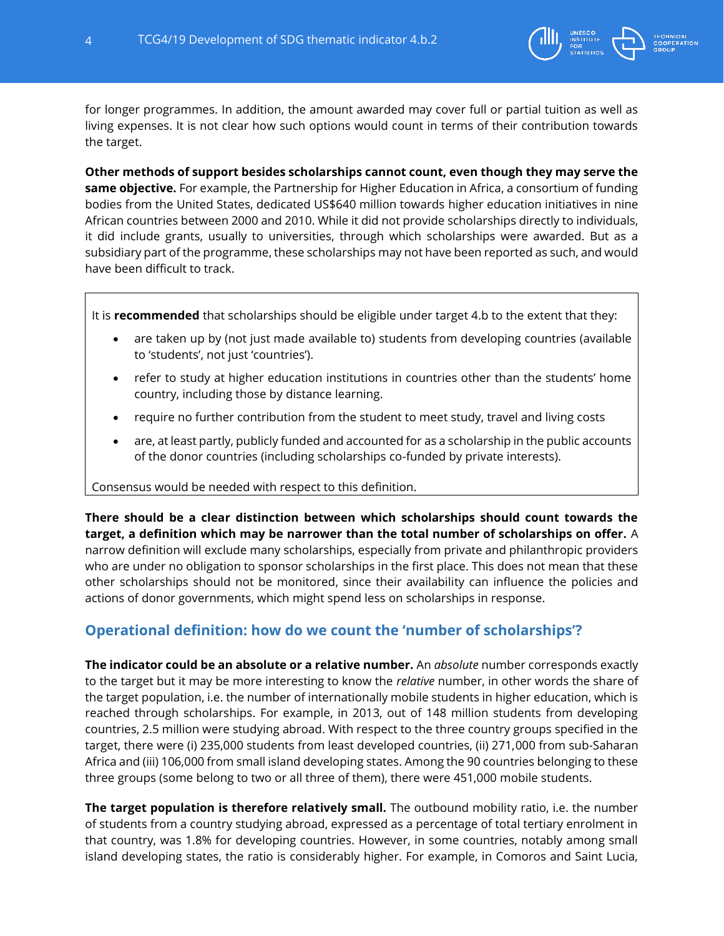

for longer programmes. In addition, the amount awarded may cover full or partial tuition as well as living expenses. It is not clear how such options would count in terms of their contribution towards the target.

**Other methods of support besides scholarships cannot count, even though they may serve the same objective.** For example, the Partnership for Higher Education in Africa, a consortium of funding bodies from the United States, dedicated US\$640 million towards higher education initiatives in nine African countries between 2000 and 2010. While it did not provide scholarships directly to individuals, it did include grants, usually to universities, through which scholarships were awarded. But as a subsidiary part of the programme, these scholarships may not have been reported as such, and would have been difficult to track.

It is **recommended** that scholarships should be eligible under target 4.b to the extent that they:

- are taken up by (not just made available to) students from developing countries (available to 'students', not just 'countries').
- refer to study at higher education institutions in countries other than the students' home country, including those by distance learning.
- require no further contribution from the student to meet study, travel and living costs
- are, at least partly, publicly funded and accounted for as a scholarship in the public accounts of the donor countries (including scholarships co-funded by private interests).

Consensus would be needed with respect to this definition.

**There should be a clear distinction between which scholarships should count towards the target, a definition which may be narrower than the total number of scholarships on offer.** A narrow definition will exclude many scholarships, especially from private and philanthropic providers who are under no obligation to sponsor scholarships in the first place. This does not mean that these other scholarships should not be monitored, since their availability can influence the policies and actions of donor governments, which might spend less on scholarships in response.

# **Operational definition: how do we count the 'number of scholarships'?**

**The indicator could be an absolute or a relative number.** An *absolute* number corresponds exactly to the target but it may be more interesting to know the *relative* number, in other words the share of the target population, i.e. the number of internationally mobile students in higher education, which is reached through scholarships. For example, in 2013, out of 148 million students from developing countries, 2.5 million were studying abroad. With respect to the three country groups specified in the target, there were (i) 235,000 students from least developed countries, (ii) 271,000 from sub-Saharan Africa and (iii) 106,000 from small island developing states. Among the 90 countries belonging to these three groups (some belong to two or all three of them), there were 451,000 mobile students.

**The target population is therefore relatively small.** The outbound mobility ratio, i.e. the number of students from a country studying abroad, expressed as a percentage of total tertiary enrolment in that country, was 1.8% for developing countries. However, in some countries, notably among small island developing states, the ratio is considerably higher. For example, in Comoros and Saint Lucia,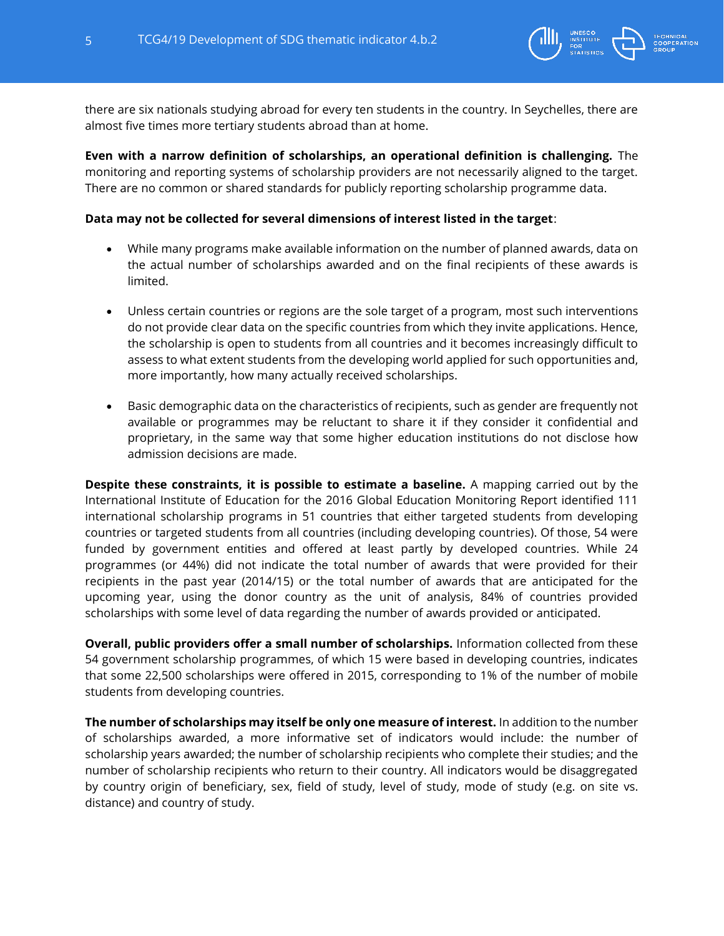

there are six nationals studying abroad for every ten students in the country. In Seychelles, there are almost five times more tertiary students abroad than at home.

**Even with a narrow definition of scholarships, an operational definition is challenging.** The monitoring and reporting systems of scholarship providers are not necessarily aligned to the target. There are no common or shared standards for publicly reporting scholarship programme data.

#### **Data may not be collected for several dimensions of interest listed in the target**:

- While many programs make available information on the number of planned awards, data on the actual number of scholarships awarded and on the final recipients of these awards is limited.
- Unless certain countries or regions are the sole target of a program, most such interventions do not provide clear data on the specific countries from which they invite applications. Hence, the scholarship is open to students from all countries and it becomes increasingly difficult to assess to what extent students from the developing world applied for such opportunities and, more importantly, how many actually received scholarships.
- Basic demographic data on the characteristics of recipients, such as gender are frequently not available or programmes may be reluctant to share it if they consider it confidential and proprietary, in the same way that some higher education institutions do not disclose how admission decisions are made.

**Despite these constraints, it is possible to estimate a baseline.** A mapping carried out by the International Institute of Education for the 2016 Global Education Monitoring Report identified 111 international scholarship programs in 51 countries that either targeted students from developing countries or targeted students from all countries (including developing countries). Of those, 54 were funded by government entities and offered at least partly by developed countries. While 24 programmes (or 44%) did not indicate the total number of awards that were provided for their recipients in the past year (2014/15) or the total number of awards that are anticipated for the upcoming year, using the donor country as the unit of analysis, 84% of countries provided scholarships with some level of data regarding the number of awards provided or anticipated.

**Overall, public providers offer a small number of scholarships.** Information collected from these 54 government scholarship programmes, of which 15 were based in developing countries, indicates that some 22,500 scholarships were offered in 2015, corresponding to 1% of the number of mobile students from developing countries.

**The number of scholarships may itself be only one measure of interest.** In addition to the number of scholarships awarded, a more informative set of indicators would include: the number of scholarship years awarded; the number of scholarship recipients who complete their studies; and the number of scholarship recipients who return to their country. All indicators would be disaggregated by country origin of beneficiary, sex, field of study, level of study, mode of study (e.g. on site vs. distance) and country of study.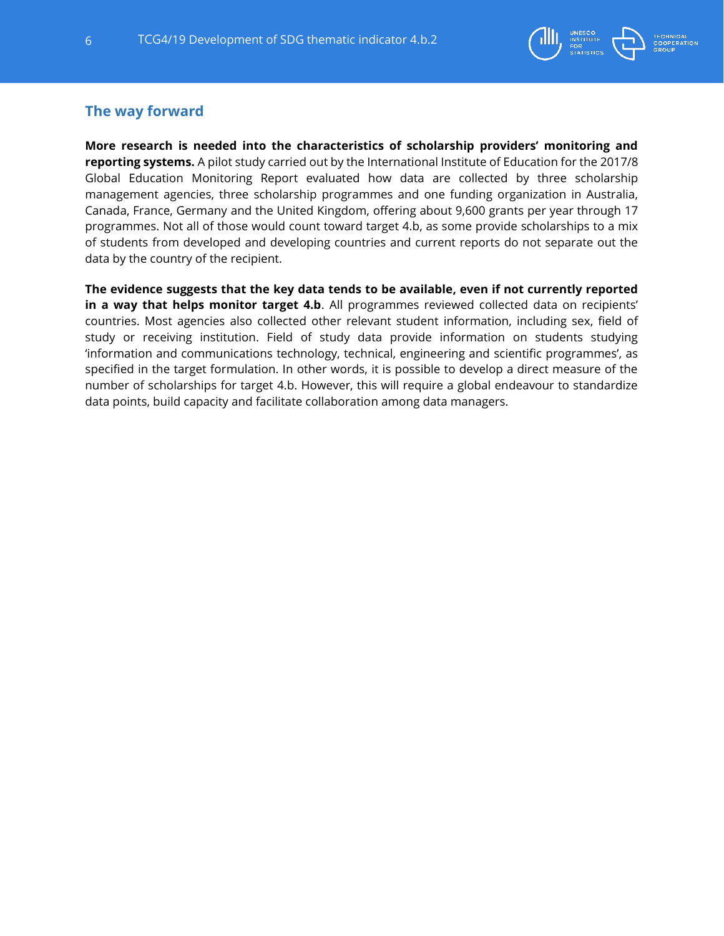

## **The way forward**

**More research is needed into the characteristics of scholarship providers' monitoring and reporting systems.** A pilot study carried out by the International Institute of Education for the 2017/8 Global Education Monitoring Report evaluated how data are collected by three scholarship management agencies, three scholarship programmes and one funding organization in Australia, Canada, France, Germany and the United Kingdom, offering about 9,600 grants per year through 17 programmes. Not all of those would count toward target 4.b, as some provide scholarships to a mix of students from developed and developing countries and current reports do not separate out the data by the country of the recipient.

**The evidence suggests that the key data tends to be available, even if not currently reported in a way that helps monitor target 4.b**. All programmes reviewed collected data on recipients' countries. Most agencies also collected other relevant student information, including sex, field of study or receiving institution. Field of study data provide information on students studying 'information and communications technology, technical, engineering and scientific programmes', as specified in the target formulation. In other words, it is possible to develop a direct measure of the number of scholarships for target 4.b. However, this will require a global endeavour to standardize data points, build capacity and facilitate collaboration among data managers.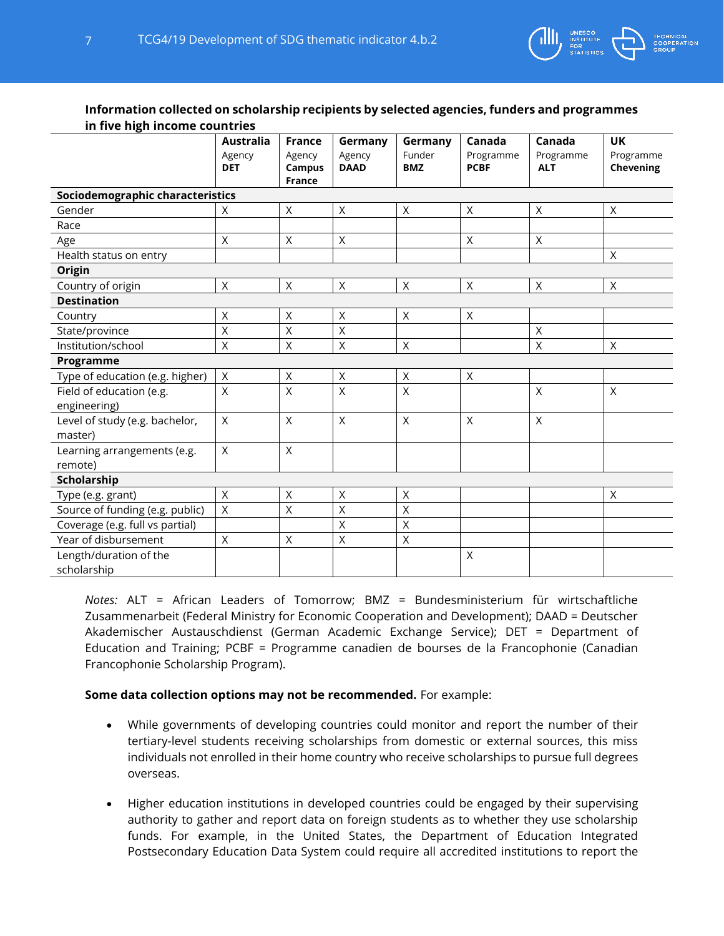

#### **Information collected on scholarship recipients by selected agencies, funders and programmes in five high income countries**

| <i>.</i>                                  | <b>Australia</b><br>Agency<br><b>DET</b> | <b>France</b><br>Agency<br>Campus<br><b>France</b> | Germany<br>Agency<br><b>DAAD</b> | Germany<br>Funder<br><b>BMZ</b> | Canada<br>Programme<br><b>PCBF</b> | Canada<br>Programme<br><b>ALT</b> | <b>UK</b><br>Programme<br>Chevening |
|-------------------------------------------|------------------------------------------|----------------------------------------------------|----------------------------------|---------------------------------|------------------------------------|-----------------------------------|-------------------------------------|
| Sociodemographic characteristics          |                                          |                                                    |                                  |                                 |                                    |                                   |                                     |
| Gender                                    | X                                        | X                                                  | X                                | X                               | X                                  | X                                 | X                                   |
| Race                                      |                                          |                                                    |                                  |                                 |                                    |                                   |                                     |
| Age                                       | $\mathsf{X}$                             | $\times$                                           | X                                |                                 | $\times$                           | X                                 |                                     |
| Health status on entry                    |                                          |                                                    |                                  |                                 |                                    |                                   | $\times$                            |
| Origin                                    |                                          |                                                    |                                  |                                 |                                    |                                   |                                     |
| Country of origin                         | $\mathsf{X}$                             | X                                                  | $\times$                         | X                               | $\times$                           | X                                 | X                                   |
| <b>Destination</b>                        |                                          |                                                    |                                  |                                 |                                    |                                   |                                     |
| Country                                   | $\sf X$                                  | $\mathsf{X}% _{0}$                                 | $\sf X$                          | $\mathsf{X}$                    | $\times$                           |                                   |                                     |
| State/province                            | X                                        | Χ                                                  | $\sf X$                          |                                 |                                    | $\mathsf X$                       |                                     |
| Institution/school                        | $\sf X$                                  | Χ                                                  | $\sf X$                          | X                               |                                    | $\mathsf X$                       | X                                   |
| Programme                                 |                                          |                                                    |                                  |                                 |                                    |                                   |                                     |
| Type of education (e.g. higher)           | $\sf X$                                  | $\mathsf X$                                        | $\sf X$                          | $\mathsf X$                     | $\times$                           |                                   |                                     |
| Field of education (e.g.<br>engineering)  | X                                        | $\mathsf{X}% _{0}$                                 | $\sf X$                          | $\mathsf{X}% _{0}$              |                                    | $\mathsf{X}% _{0}$                | $\times$                            |
| Level of study (e.g. bachelor,<br>master) | $\mathsf{X}$                             | $\sf X$                                            | $\times$                         | $\sf X$                         | $\sf X$                            | $\mathsf{X}$                      |                                     |
| Learning arrangements (e.g.<br>remote)    | $\mathsf{X}$                             | $\mathsf{X}% _{0}$                                 |                                  |                                 |                                    |                                   |                                     |
| Scholarship                               |                                          |                                                    |                                  |                                 |                                    |                                   |                                     |
| Type (e.g. grant)                         | $\sf X$                                  | $\mathsf{X}% _{0}$                                 | $\sf X$                          | $\mathsf X$                     |                                    |                                   | X                                   |
| Source of funding (e.g. public)           | $\mathsf{X}$                             | $\mathsf X$                                        | $\sf X$                          | $\mathsf{X}% _{0}$              |                                    |                                   |                                     |
| Coverage (e.g. full vs partial)           |                                          |                                                    | X                                | X                               |                                    |                                   |                                     |
| Year of disbursement                      | $\mathsf{X}$                             | $\mathsf X$                                        | $\sf X$                          | $\mathsf X$                     |                                    |                                   |                                     |
| Length/duration of the<br>scholarship     |                                          |                                                    |                                  |                                 | X                                  |                                   |                                     |

*Notes:* ALT = African Leaders of Tomorrow; BMZ = Bundesministerium für wirtschaftliche Zusammenarbeit (Federal Ministry for Economic Cooperation and Development); DAAD = Deutscher Akademischer Austauschdienst (German Academic Exchange Service); DET = Department of Education and Training; PCBF = Programme canadien de bourses de la Francophonie (Canadian Francophonie Scholarship Program).

#### **Some data collection options may not be recommended.** For example:

- While governments of developing countries could monitor and report the number of their tertiary-level students receiving scholarships from domestic or external sources, this miss individuals not enrolled in their home country who receive scholarships to pursue full degrees overseas.
- Higher education institutions in developed countries could be engaged by their supervising authority to gather and report data on foreign students as to whether they use scholarship funds. For example, in the United States, the Department of Education Integrated Postsecondary Education Data System could require all accredited institutions to report the